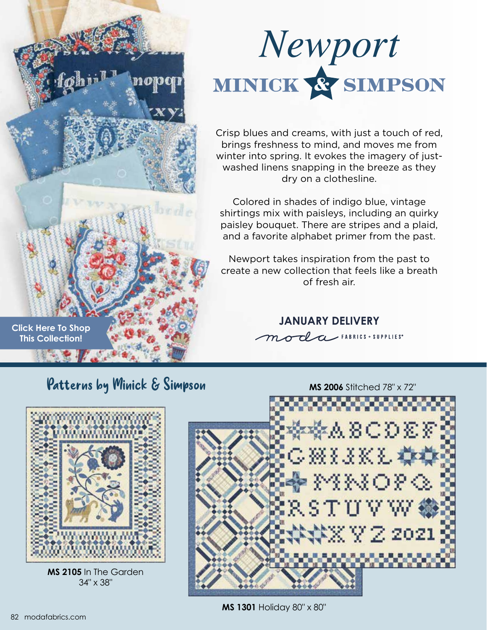

Crisp blues and creams, with just a touch of red, brings freshness to mind, and moves me from winter into spring. It evokes the imagery of justwashed linens snapping in the breeze as they dry on a clothesline.

Colored in shades of indigo blue, vintage shirtings mix with paisleys, including an quirky paisley bouquet. There are stripes and a plaid, and a favorite alphabet primer from the past.

Newport takes inspiration from the past to create a new collection that feels like a breath of fresh air.

**JANUARY DELIVERY**

moda FABRICS + SUPPLIES\*

**[Click Here To Shop](https://my.modafabrics.com/shop/s/Minick_And_Simpson/Newport/) This Collection!**

**Patterns by Minick & Simpson** MS 2006 Stitched 78" x 72"

 $\log d$ 



**MS 2105** In The Garden 34" x 38"



 $Z$  2021

**MS 1301** Holiday 80" x 80"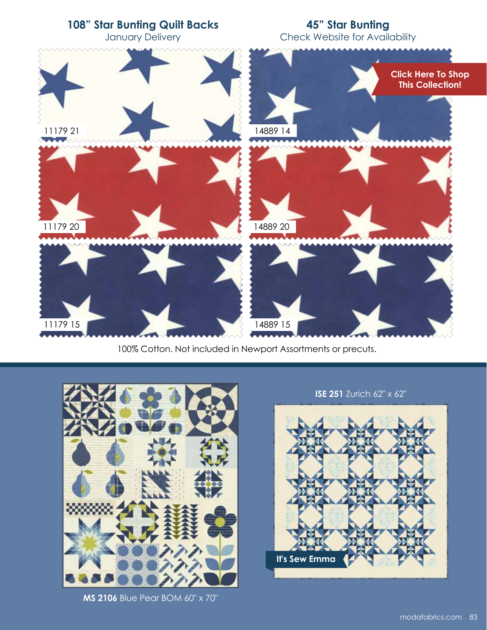

100% Cotton. Not included in Newport Assortments or precuts.



**MS 2106** Blue Pear BOM 60" x 70"

## **ISE 251** Zurich 62" x 62"

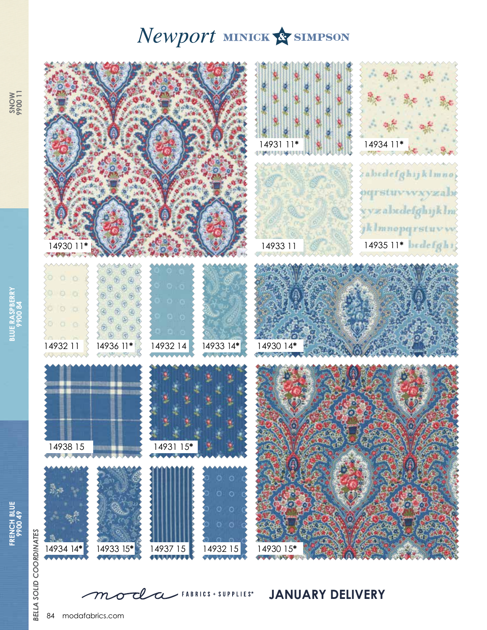## Newport MINICK & SIMPSON



**JANUARY DELIVERY**

 ${\cal m}$ 

tl

 $\boldsymbol{\sigma}$ 

 $\alpha$ 

 $\blacktriangleright$  FABRICS + SUPPLIES<sup>®</sup>